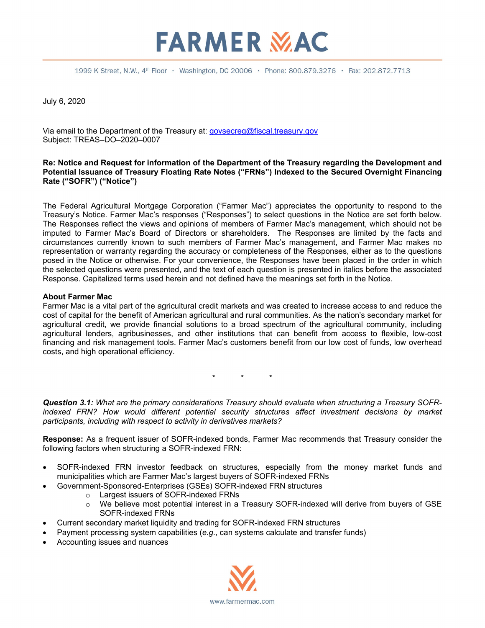### 1999 K Street, N.W., 4<sup>th</sup> Floor · Washington, DC 20006 · Phone: 800.879.3276 · Fax: 202.872.7713

**FARMER MAC** 

July 6, 2020

Via email to the Department of the Treasury at: [govsecreg@fiscal.treasury.gov](mailto:govsecreg@fiscal.treasury.gov) Subject: TREAS–DO–2020–0007

### **Re: Notice and Request for information of the Department of the Treasury regarding the Development and Potential Issuance of Treasury Floating Rate Notes ("FRNs") Indexed to the Secured Overnight Financing Rate ("SOFR") ("Notice")**

The Federal Agricultural Mortgage Corporation ("Farmer Mac") appreciates the opportunity to respond to the Treasury's Notice. Farmer Mac's responses ("Responses") to select questions in the Notice are set forth below. The Responses reflect the views and opinions of members of Farmer Mac's management, which should not be imputed to Farmer Mac's Board of Directors or shareholders. The Responses are limited by the facts and circumstances currently known to such members of Farmer Mac's management, and Farmer Mac makes no representation or warranty regarding the accuracy or completeness of the Responses, either as to the questions posed in the Notice or otherwise. For your convenience, the Responses have been placed in the order in which the selected questions were presented, and the text of each question is presented in italics before the associated Response. Capitalized terms used herein and not defined have the meanings set forth in the Notice.

### **About Farmer Mac**

Farmer Mac is a vital part of the agricultural credit markets and was created to increase access to and reduce the cost of capital for the benefit of American agricultural and rural communities. As the nation's secondary market for agricultural credit, we provide financial solutions to a broad spectrum of the agricultural community, including agricultural lenders, agribusinesses, and other institutions that can benefit from access to flexible, low-cost financing and risk management tools. Farmer Mac's customers benefit from our low cost of funds, low overhead costs, and high operational efficiency.

\* \* \*

*Question 3.1: What are the primary considerations Treasury should evaluate when structuring a Treasury SOFR*indexed FRN? How would different potential security structures affect investment decisions by market *participants, including with respect to activity in derivatives markets?*

**Response:** As a frequent issuer of SOFR-indexed bonds, Farmer Mac recommends that Treasury consider the following factors when structuring a SOFR-indexed FRN:

- SOFR-indexed FRN investor feedback on structures, especially from the money market funds and municipalities which are Farmer Mac's largest buyers of SOFR-indexed FRNs
- Government-Sponsored-Enterprises (GSEs) SOFR-indexed FRN structures
	- o Largest issuers of SOFR-indexed FRNs
	- o We believe most potential interest in a Treasury SOFR-indexed will derive from buyers of GSE SOFR-indexed FRNs
- Current secondary market liquidity and trading for SOFR-indexed FRN structures
- Payment processing system capabilities (*e.g.*, can systems calculate and transfer funds)
- Accounting issues and nuances

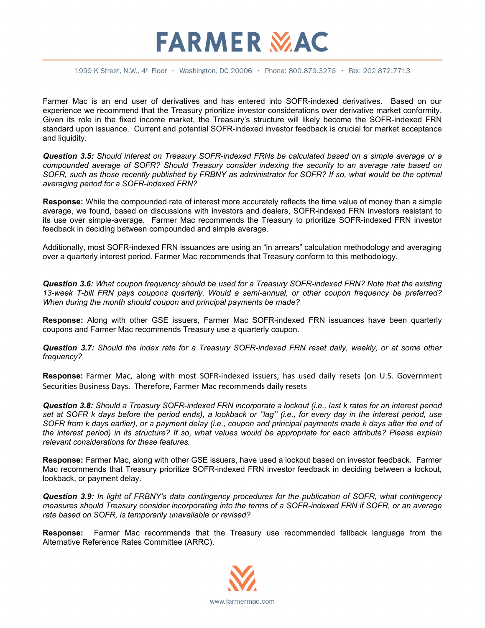## **FARMER MAC**

1999 K Street, N.W., 4<sup>th</sup> Floor · Washington, DC 20006 · Phone: 800.879.3276 · Fax: 202.872.7713

Farmer Mac is an end user of derivatives and has entered into SOFR-indexed derivatives. Based on our experience we recommend that the Treasury prioritize investor considerations over derivative market conformity. Given its role in the fixed income market, the Treasury's structure will likely become the SOFR-indexed FRN standard upon issuance. Current and potential SOFR-indexed investor feedback is crucial for market acceptance and liquidity.

*Question 3.5: Should interest on Treasury SOFR-indexed FRNs be calculated based on a simple average or a compounded average of SOFR? Should Treasury consider indexing the security to an average rate based on SOFR, such as those recently published by FRBNY as administrator for SOFR? If so, what would be the optimal averaging period for a SOFR-indexed FRN?*

**Response:** While the compounded rate of interest more accurately reflects the time value of money than a simple average, we found, based on discussions with investors and dealers, SOFR-indexed FRN investors resistant to its use over simple-average. Farmer Mac recommends the Treasury to prioritize SOFR-indexed FRN investor feedback in deciding between compounded and simple average.

Additionally, most SOFR-indexed FRN issuances are using an "in arrears" calculation methodology and averaging over a quarterly interest period. Farmer Mac recommends that Treasury conform to this methodology.

*Question 3.6: What coupon frequency should be used for a Treasury SOFR-indexed FRN? Note that the existing 13-week T-bill FRN pays coupons quarterly. Would a semi-annual, or other coupon frequency be preferred? When during the month should coupon and principal payments be made?*

**Response:** Along with other GSE issuers, Farmer Mac SOFR-indexed FRN issuances have been quarterly coupons and Farmer Mac recommends Treasury use a quarterly coupon.

*Question 3.7: Should the index rate for a Treasury SOFR-indexed FRN reset daily, weekly, or at some other frequency?*

**Response:** Farmer Mac, along with most SOFR-indexed issuers, has used daily resets (on U.S. Government Securities Business Days. Therefore, Farmer Mac recommends daily resets

*Question 3.8: Should a Treasury SOFR-indexed FRN incorporate a lockout (i.e., last k rates for an interest period set at SOFR k days before the period ends), a lookback or ''lag'' (i.e., for every day in the interest period, use SOFR from k days earlier), or a payment delay (i.e., coupon and principal payments made k days after the end of the interest period) in its structure? If so, what values would be appropriate for each attribute? Please explain relevant considerations for these features.*

**Response:** Farmer Mac, along with other GSE issuers, have used a lockout based on investor feedback. Farmer Mac recommends that Treasury prioritize SOFR-indexed FRN investor feedback in deciding between a lockout, lookback, or payment delay.

*Question 3.9: In light of FRBNY's data contingency procedures for the publication of SOFR, what contingency measures should Treasury consider incorporating into the terms of a SOFR-indexed FRN if SOFR, or an average rate based on SOFR, is temporarily unavailable or revised?*

**Response:** Farmer Mac recommends that the Treasury use recommended fallback language from the Alternative Reference Rates Committee (ARRC).